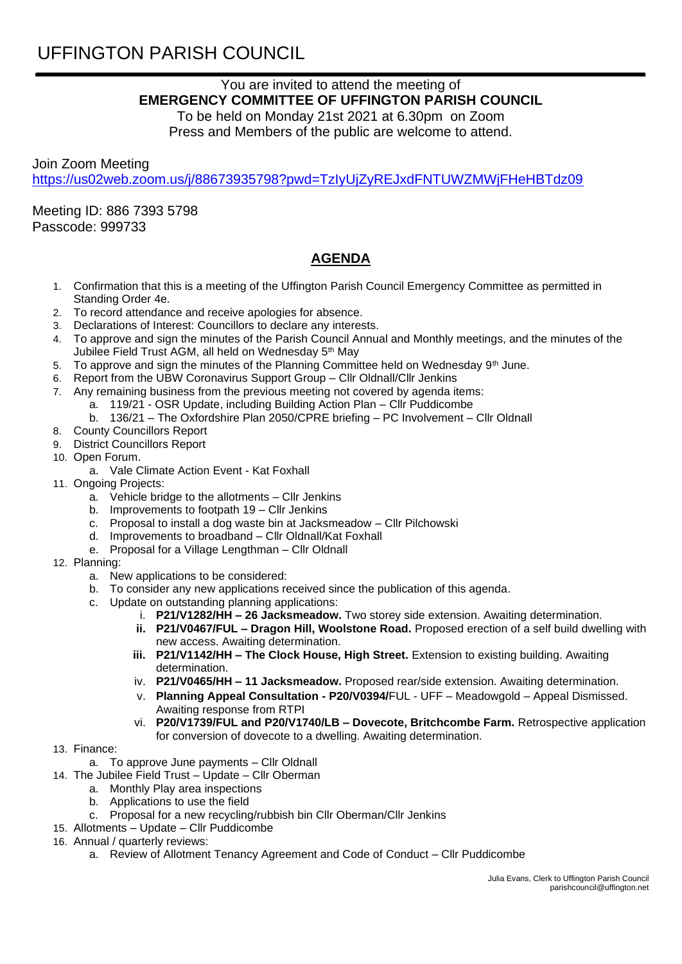## UFFINGTON PARISH COUNCIL

## You are invited to attend the meeting of **EMERGENCY COMMITTEE OF UFFINGTON PARISH COUNCIL**

To be held on Monday 21st 2021 at 6.30pm on Zoom Press and Members of the public are welcome to attend.

Join Zoom Meeting <https://us02web.zoom.us/j/88673935798?pwd=TzIyUjZyREJxdFNTUWZMWjFHeHBTdz09>

Meeting ID: 886 7393 5798 Passcode: 999733

## **AGENDA**

- 1. Confirmation that this is a meeting of the Uffington Parish Council Emergency Committee as permitted in Standing Order 4e.
- 2. To record attendance and receive apologies for absence.
- 3. Declarations of Interest: Councillors to declare any interests.
- 4. To approve and sign the minutes of the Parish Council Annual and Monthly meetings, and the minutes of the Jubilee Field Trust AGM, all held on Wednesday 5<sup>th</sup> May
- 5. To approve and sign the minutes of the Planning Committee held on Wednesday  $9<sup>th</sup>$  June.
- 6. Report from the UBW Coronavirus Support Group Cllr Oldnall/Cllr Jenkins
- 7. Any remaining business from the previous meeting not covered by agenda items:
	- a. 119/21 OSR Update, including Building Action Plan Cllr Puddicombe
	- b. 136/21 The Oxfordshire Plan 2050/CPRE briefing PC Involvement Cllr Oldnall
- 8. County Councillors Report
- 9. District Councillors Report
- 10. Open Forum.
	- a. Vale Climate Action Event Kat Foxhall
- 11. Ongoing Projects:
	- a. Vehicle bridge to the allotments Cllr Jenkins
	- b. Improvements to footpath 19 Cllr Jenkins
	- c. Proposal to install a dog waste bin at Jacksmeadow Cllr Pilchowski
	- d. Improvements to broadband Cllr Oldnall/Kat Foxhall
	- e. Proposal for a Village Lengthman Cllr Oldnall
- 12. Planning:
	- a. New applications to be considered:
	- b. To consider any new applications received since the publication of this agenda.
	- c. Update on outstanding planning applications:
		- i. **P21/V1282/HH – 26 Jacksmeadow.** Two storey side extension. Awaiting determination.
		- **ii. P21/V0467/FUL – Dragon Hill, Woolstone Road.** Proposed erection of a self build dwelling with new access. Awaiting determination.
		- **iii. P21/V1142/HH – The Clock House, High Street.** Extension to existing building. Awaiting determination.
		- iv. **P21/V0465/HH – 11 Jacksmeadow.** Proposed rear/side extension. Awaiting determination.
		- v. **Planning Appeal Consultation - P20/V0394/**FUL UFF Meadowgold Appeal Dismissed. Awaiting response from RTPI
		- vi. **P20/V1739/FUL and P20/V1740/LB – Dovecote, Britchcombe Farm.** Retrospective application for conversion of dovecote to a dwelling. Awaiting determination.
- 13. Finance:
	- a. To approve June payments Cllr Oldnall
- 14. The Jubilee Field Trust Update Cllr Oberman
	- a. Monthly Play area inspections
	- b. Applications to use the field
	- c. Proposal for a new recycling/rubbish bin Cllr Oberman/Cllr Jenkins
- 15. Allotments Update Cllr Puddicombe
- 16. Annual / quarterly reviews:
	- a. Review of Allotment Tenancy Agreement and Code of Conduct Cllr Puddicombe